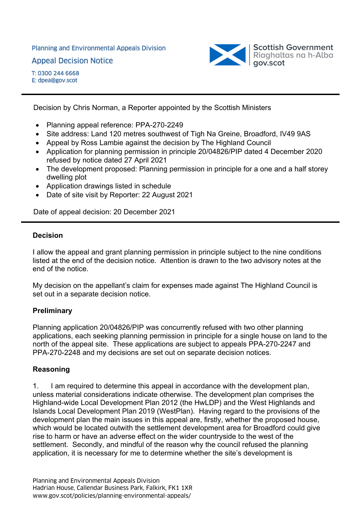Planning and Environmental Appeals Division Appeal Decision Notice



Decision by Chris Norman, a Reporter appointed by the Scottish Ministers

- Planning appeal reference: PPA-270-2249
- Site address: Land 120 metres southwest of Tigh Na Greine, Broadford, IV49 9AS
- Appeal by Ross Lambie against the decision by The Highland Council
- Application for planning permission in principle 20/04826/PIP dated 4 December 2020 refused by notice dated 27 April 2021
- The development proposed: Planning permission in principle for a one and a half storey dwelling plot
- Application drawings listed in schedule
- Date of site visit by Reporter: 22 August 2021

Date of appeal decision: 20 December 2021

#### **Decision**

I allow the appeal and grant planning permission in principle subject to the nine conditions listed at the end of the decision notice. Attention is drawn to the two advisory notes at the end of the notice.

My decision on the appellant's claim for expenses made against The Highland Council is set out in a separate decision notice.

### **Preliminary**

Planning application 20/04826/PIP was concurrently refused with two other planning applications, each seeking planning permission in principle for a single house on land to the north of the appeal site. These applications are subject to appeals PPA-270-2247 and PPA-270-2248 and my decisions are set out on separate decision notices.

### **Reasoning**

1. I am required to determine this appeal in accordance with the development plan, unless material considerations indicate otherwise. The development plan comprises the Highland-wide Local Development Plan 2012 (the HwLDP) and the West Highlands and Islands Local Development Plan 2019 (WestPlan). Having regard to the provisions of the development plan the main issues in this appeal are, firstly, whether the proposed house, which would be located outwith the settlement development area for Broadford could give rise to harm or have an adverse effect on the wider countryside to the west of the settlement. Secondly, and mindful of the reason why the council refused the planning application, it is necessary for me to determine whether the site's development is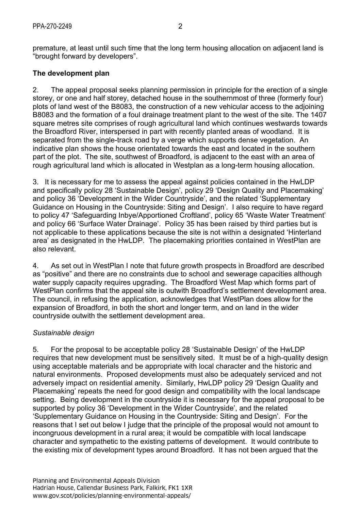premature, at least until such time that the long term housing allocation on adjacent land is "brought forward by developers".

## **The development plan**

2. The appeal proposal seeks planning permission in principle for the erection of a single storey, or one and half storey, detached house in the southernmost of three (formerly four) plots of land west of the B8083, the construction of a new vehicular access to the adjoining B8083 and the formation of a foul drainage treatment plant to the west of the site. The 1407 square metres site comprises of rough agricultural land which continues westwards towards the Broadford River, interspersed in part with recently planted areas of woodland. It is separated from the single-track road by a verge which supports dense vegetation. An indicative plan shows the house orientated towards the east and located in the southern part of the plot. The site, southwest of Broadford, is adjacent to the east with an area of rough agricultural land which is allocated in Westplan as a long-term housing allocation.

3. It is necessary for me to assess the appeal against policies contained in the HwLDP and specifically policy 28 'Sustainable Design', policy 29 'Design Quality and Placemaking' and policy 36 'Development in the Wider Countryside', and the related 'Supplementary Guidance on Housing in the Countryside: Siting and Design'. I also require to have regard to policy 47 'Safeguarding Inbye/Apportioned Croftland', policy 65 'Waste Water Treatment' and policy 66 'Surface Water Drainage'. Policy 35 has been raised by third parties but is not applicable to these applications because the site is not within a designated 'Hinterland area' as designated in the HwLDP. The placemaking priorities contained in WestPlan are also relevant.

4. As set out in WestPlan I note that future growth prospects in Broadford are described as "positive" and there are no constraints due to school and sewerage capacities although water supply capacity requires upgrading. The Broadford West Map which forms part of WestPlan confirms that the appeal site is outwith Broadford's settlement development area. The council, in refusing the application, acknowledges that WestPlan does allow for the expansion of Broadford, in both the short and longer term, and on land in the wider countryside outwith the settlement development area.

### *Sustainable design*

5. For the proposal to be acceptable policy 28 'Sustainable Design' of the HwLDP requires that new development must be sensitively sited. It must be of a high-quality design using acceptable materials and be appropriate with local character and the historic and natural environments. Proposed developments must also be adequately serviced and not adversely impact on residential amenity. Similarly, HwLDP policy 29 'Design Quality and Placemaking' repeats the need for good design and compatibility with the local landscape setting. Being development in the countryside it is necessary for the appeal proposal to be supported by policy 36 'Development in the Wider Countryside', and the related 'Supplementary Guidance on Housing in the Countryside: Siting and Design'. For the reasons that I set out below I judge that the principle of the proposal would not amount to incongruous development in a rural area; it would be compatible with local landscape character and sympathetic to the existing patterns of development. It would contribute to the existing mix of development types around Broadford. It has not been argued that the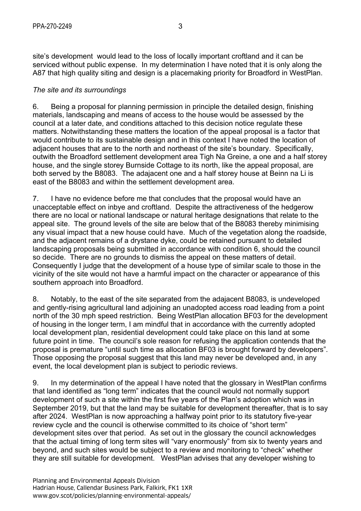site's development would lead to the loss of locally important croftland and it can be serviced without public expense. In my determination I have noted that it is only along the A87 that high quality siting and design is a placemaking priority for Broadford in WestPlan.

#### *The site and its surroundings*

6. Being a proposal for planning permission in principle the detailed design, finishing materials, landscaping and means of access to the house would be assessed by the council at a later date, and conditions attached to this decision notice regulate these matters. Notwithstanding these matters the location of the appeal proposal is a factor that would contribute to its sustainable design and in this context I have noted the location of adjacent houses that are to the north and northeast of the site's boundary. Specifically, outwith the Broadford settlement development area Tigh Na Greine, a one and a half storey house, and the single storey Burnside Cottage to its north, like the appeal proposal, are both served by the B8083. The adajacent one and a half storey house at Beinn na Li is east of the B8083 and within the settlement development area.

7. I have no evidence before me that concludes that the proposal would have an unacceptable effect on inbye and croftland. Despite the attractiveness of the hedgerow there are no local or national landscape or natural heritage designations that relate to the appeal site. The ground levels of the site are below that of the B8083 thereby minimising any visual impact that a new house could have. Much of the vegetation along the roadside, and the adjacent remains of a drystane dyke, could be retained pursuant to detailed landscaping proposals being submitted in accordance with condition 6, should the council so decide. There are no grounds to dismiss the appeal on these matters of detail. Consequently I judge that the development of a house type of similar scale to those in the vicinity of the site would not have a harmful impact on the character or appearance of this southern approach into Broadford.

8. Notably, to the east of the site separated from the adajacent B8083, is undeveloped and gently-rising agricultural land adjoining an unadopted access road leading from a point north of the 30 mph speed restriction. Being WestPlan allocation BF03 for the development of housing in the longer term, I am mindful that in accordance with the currently adopted local development plan, residential development could take place on this land at some future point in time. The council's sole reason for refusing the application contends that the proposal is premature "until such time as allocation BF03 is brought forward by developers". Those opposing the proposal suggest that this land may never be developed and, in any event, the local development plan is subject to periodic reviews.

9. In my determination of the appeal I have noted that the glossary in WestPlan confirms that land identified as "long term" indicates that the council would not normally support development of such a site within the first five years of the Plan's adoption which was in September 2019, but that the land may be suitable for development thereafter, that is to say after 2024. WestPlan is now approaching a halfway point prior to its statutory five-year review cycle and the council is otherwise committed to its choice of "short term" development sites over that period. As set out in the glossary the council acknowledges that the actual timing of long term sites will "vary enormously" from six to twenty years and beyond, and such sites would be subject to a review and monitoring to "check" whether they are still suitable for development. WestPlan advises that any developer wishing to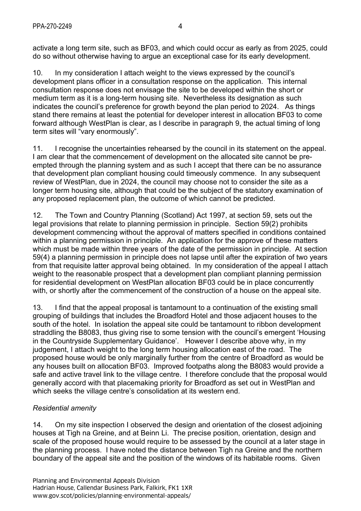activate a long term site, such as BF03, and which could occur as early as from 2025, could do so without otherwise having to argue an exceptional case for its early development.

10. In my consideration I attach weight to the views expressed by the council's development plans officer in a consultation response on the application. This internal consultation response does not envisage the site to be developed within the short or medium term as it is a long-term housing site. Nevertheless its designation as such indicates the council's preference for growth beyond the plan period to 2024. As things stand there remains at least the potential for developer interest in allocation BF03 to come forward although WestPlan is clear, as I describe in paragraph 9, the actual timing of long term sites will "vary enormously".

11. I recognise the uncertainties rehearsed by the council in its statement on the appeal. I am clear that the commencement of development on the allocated site cannot be preempted through the planning system and as such I accept that there can be no assurance that development plan compliant housing could timeously commence. In any subsequent review of WestPlan, due in 2024, the council may choose not to consider the site as a longer term housing site, although that could be the subject of the statutory examination of any proposed replacement plan, the outcome of which cannot be predicted.

12. The Town and Country Planning (Scotland) Act 1997, at section 59, sets out the legal provisions that relate to planning permission in principle. Section 59(2) prohibits development commencing without the approval of matters specified in conditions contained within a planning permission in principle. An application for the approve of these matters which must be made within three years of the date of the permission in principle. At section 59(4) a planning permission in principle does not lapse until after the expiration of two years from that requisite latter approval being obtained. In my consideration of the appeal I attach weight to the reasonable prospect that a development plan compliant planning permission for residential development on WestPlan allocation BF03 could be in place concurrently with, or shortly after the commencement of the construction of a house on the appeal site.

13. I find that the appeal proposal is tantamount to a continuation of the existing small grouping of buildings that includes the Broadford Hotel and those adjacent houses to the south of the hotel. In isolation the appeal site could be tantamount to ribbon development straddling the B8083, thus giving rise to some tension with the council's emergent 'Housing in the Countryside Supplementary Guidance'. However I describe above why, in my judgement, I attach weight to the long term housing allocation east of the road. The proposed house would be only marginally further from the centre of Broadford as would be any houses built on allocation BF03. Improved footpaths along the B8083 would provide a safe and active travel link to the village centre. I therefore conclude that the proposal would generally accord with that placemaking priority for Broadford as set out in WestPlan and which seeks the village centre's consolidation at its western end.

# *Residential amenity*

14. On my site inspection I observed the design and orientation of the closest adjoining houses at Tigh na Greine, and at Beinn Li. The precise position, orientation, design and scale of the proposed house would require to be assessed by the council at a later stage in the planning process. I have noted the distance between Tigh na Greine and the northern boundary of the appeal site and the position of the windows of its habitable rooms. Given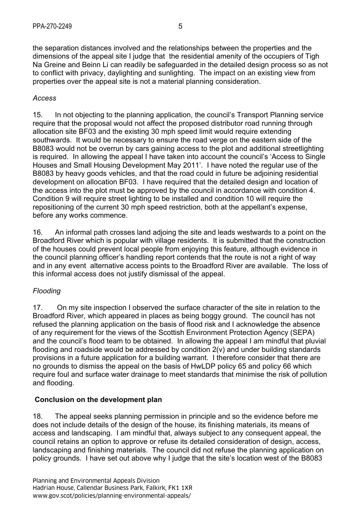the separation distances involved and the relationships between the properties and the dimensions of the appeal site I judge that the residential amenity of the occupiers of Tigh Na Greine and Beinn Li can readily be safeguarded in the detailed design process so as not to conflict with privacy, daylighting and sunlighting. The impact on an existing view from properties over the appeal site is not a material planning consideration.

### *Access*

15. In not objecting to the planning application, the council's Transport Planning service require that the proposal would not affect the proposed distributor road running through allocation site BF03 and the existing 30 mph speed limit would require extending southwards. It would be necessary to ensure the road verge on the eastern side of the B8083 would not be overrun by cars gaining access to the plot and additional streetlighting is required. In allowing the appeal I have taken into account the council's 'Access to Single Houses and Small Housing Development May 2011'. I have noted the regular use of the B8083 by heavy goods vehicles, and that the road could in future be adjoining residential development on allocation BF03. I have required that the detailed design and location of the access into the plot must be approved by the council in accordance with condition 4. Condition 9 will require street lighting to be installed and condition 10 will require the repositioning of the current 30 mph speed restriction, both at the appellant's expense, before any works commence.

16. An informal path crosses land adjoing the site and leads westwards to a point on the Broadford River which is popular with village residents. It is submitted that the construction of the houses could prevent local people from enjoying this feature, although evidence in the council planning officer's handling report contends that the route is not a right of way and in any event alternative access points to the Broadford River are available. The loss of this informal access does not justify dismissal of the appeal.

### *Flooding*

17. On my site inspection I observed the surface character of the site in relation to the Broadford River, which appeared in places as being boggy ground. The council has not refused the planning application on the basis of flood risk and I acknowledge the absence of any requirement for the views of the Scottish Environment Protection Agency (SEPA) and the council's flood team to be obtained. In allowing the appeal I am mindful that pluvial flooding and roadside would be addressed by condition 2(v) and under building standards provisions in a future application for a building warrant. I therefore consider that there are no grounds to dismiss the appeal on the basis of HwLDP policy 65 and policy 66 which require foul and surface water drainage to meet standards that minimise the risk of pollution and flooding.

### **Conclusion on the development plan**

18. The appeal seeks planning permission in principle and so the evidence before me does not include details of the design of the house, its finishing materials, its means of access and landscaping. I am mindful that, always subject to any consequent appeal, the council retains an option to approve or refuse its detailed consideration of design, access, landscaping and finishing materials. The council did not refuse the planning application on policy grounds. I have set out above why I judge that the site's location west of the B8083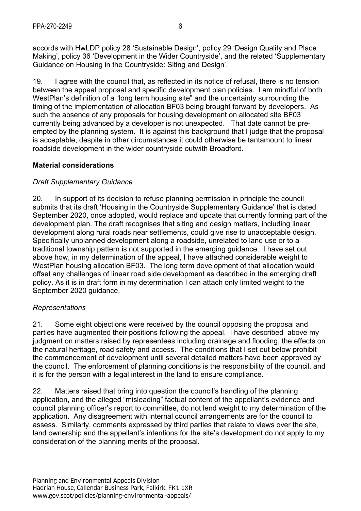accords with HwLDP policy 28 'Sustainable Design', policy 29 'Design Quality and Place Making', policy 36 'Development in the Wider Countryside', and the related 'Supplementary Guidance on Housing in the Countryside: Siting and Design'.

19. I agree with the council that, as reflected in its notice of refusal, there is no tension between the appeal proposal and specific development plan policies. I am mindful of both WestPlan's definition of a "long term housing site" and the uncertainty surrounding the timing of the implementation of allocation BF03 being brought forward by developers. As such the absence of any proposals for housing development on allocated site BF03 currently being advanced by a developer is not unexpected. That date cannot be preempted by the planning system. It is against this background that I judge that the proposal is acceptable, despite in other circumstances it could otherwise be tantamount to linear roadside development in the wider countryside outwith Broadford.

## **Material considerations**

## *Draft Supplementary Guidance*

20. In support of its decision to refuse planning permission in principle the council submits that its draft 'Housing in the Countryside Supplementary Guidance' that is dated September 2020, once adopted, would replace and update that currently forming part of the development plan. The draft recognises that siting and design matters, including linear development along rural roads near settlements, could give rise to unacceptable design. Specifically unplanned development along a roadside, unrelated to land use or to a traditional township pattern is not supported in the emerging guidance. I have set out above how, in my determination of the appeal, I have attached considerable weight to WestPlan housing allocation BF03. The long term development of that allocation would offset any challenges of linear road side development as described in the emerging draft policy. As it is in draft form in my determination I can attach only limited weight to the September 2020 guidance.

### *Representations*

21. Some eight objections were received by the council opposing the proposal and parties have augmented their positions following the appeal. I have described above my judgment on matters raised by representees including drainage and flooding, the effects on the natural heritage, road safety and access. The conditions that I set out below prohibit the commencement of development until several detailed matters have been approved by the council. The enforcement of planning conditions is the responsibility of the council, and it is for the person with a legal interest in the land to ensure compliance.

22. Matters raised that bring into question the council's handling of the planning application, and the alleged "misleading" factual content of the appellant's evidence and council planning officer's report to committee, do not lend weight to my determination of the application. Any disagreement with internal council arrangements are for the council to assess. Similarly, comments expressed by third parties that relate to views over the site, land ownership and the appellant's intentions for the site's development do not apply to my consideration of the planning merits of the proposal.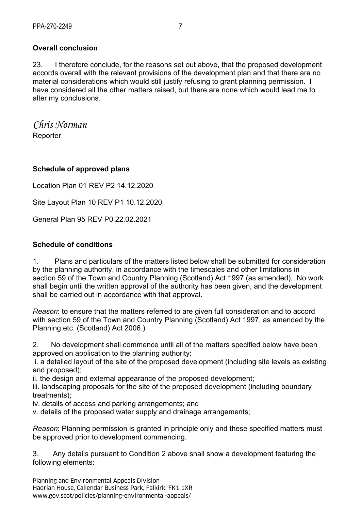## **Overall conclusion**

23. I therefore conclude, for the reasons set out above, that the proposed development accords overall with the relevant provisions of the development plan and that there are no material considerations which would still justify refusing to grant planning permission.I have considered all the other matters raised, but there are none which would lead me to alter my conclusions.

*Chris Norman*  **Reporter** 

#### **Schedule of approved plans**

Location Plan 01 REV P2 14.12.2020

Site Layout Plan 10 REV P1 10.12.2020

General Plan 95 REV P0 22.02.2021

#### **Schedule of conditions**

1. Plans and particulars of the matters listed below shall be submitted for consideration by the planning authority, in accordance with the timescales and other limitations in section 59 of the Town and Country Planning (Scotland) Act 1997 (as amended). No work shall begin until the written approval of the authority has been given, and the development shall be carried out in accordance with that approval.

*Reason*: to ensure that the matters referred to are given full consideration and to accord with section 59 of the Town and Country Planning (Scotland) Act 1997, as amended by the Planning etc. (Scotland) Act 2006.)

2. No development shall commence until all of the matters specified below have been approved on application to the planning authority:

 i. a detailed layout of the site of the proposed development (including site levels as existing and proposed);

ii. the design and external appearance of the proposed development;

iii. landscaping proposals for the site of the proposed development (including boundary treatments);

iv. details of access and parking arrangements; and

v. details of the proposed water supply and drainage arrangements;

*Reason*: Planning permission is granted in principle only and these specified matters must be approved prior to development commencing.

3. Any details pursuant to Condition 2 above shall show a development featuring the following elements:

Planning and Environmental Appeals Division Hadrian House, Callendar Business Park, Falkirk, FK1 1XR www.gov.scot/policies/planning-environmental-appeals/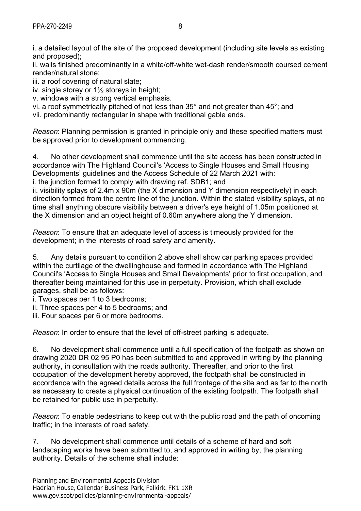i. a detailed layout of the site of the proposed development (including site levels as existing and proposed);

ii. walls finished predominantly in a white/off-white wet-dash render/smooth coursed cement render/natural stone;

iii. a roof covering of natural slate;

iv. single storey or 1½ storeys in height;

v. windows with a strong vertical emphasis.

vi. a roof symmetrically pitched of not less than 35° and not greater than 45°; and

vii. predominantly rectangular in shape with traditional gable ends.

*Reason*: Planning permission is granted in principle only and these specified matters must be approved prior to development commencing.

4. No other development shall commence until the site access has been constructed in accordance with The Highland Council's 'Access to Single Houses and Small Housing Developments' guidelines and the Access Schedule of 22 March 2021 with:

i. the junction formed to comply with drawing ref. SDB1; and

ii. visibility splays of 2.4m x 90m (the X dimension and Y dimension respectively) in each direction formed from the centre line of the junction. Within the stated visibility splays, at no time shall anything obscure visibility between a driver's eye height of 1.05m positioned at the X dimension and an object height of 0.60m anywhere along the Y dimension.

*Reason*: To ensure that an adequate level of access is timeously provided for the development; in the interests of road safety and amenity.

5. Any details pursuant to condition 2 above shall show car parking spaces provided within the curtilage of the dwellinghouse and formed in accordance with The Highland Council's 'Access to Single Houses and Small Developments' prior to first occupation, and thereafter being maintained for this use in perpetuity. Provision, which shall exclude garages, shall be as follows:

i. Two spaces per 1 to 3 bedrooms;

ii. Three spaces per 4 to 5 bedrooms; and

iii. Four spaces per 6 or more bedrooms.

*Reason*: In order to ensure that the level of off-street parking is adequate.

6. No development shall commence until a full specification of the footpath as shown on drawing 2020 DR 02 95 P0 has been submitted to and approved in writing by the planning authority, in consultation with the roads authority. Thereafter, and prior to the first occupation of the development hereby approved, the footpath shall be constructed in accordance with the agreed details across the full frontage of the site and as far to the north as necessary to create a physical continuation of the existing footpath. The footpath shall be retained for public use in perpetuity.

*Reason*: To enable pedestrians to keep out with the public road and the path of oncoming traffic; in the interests of road safety.

7. No development shall commence until details of a scheme of hard and soft landscaping works have been submitted to, and approved in writing by, the planning authority. Details of the scheme shall include: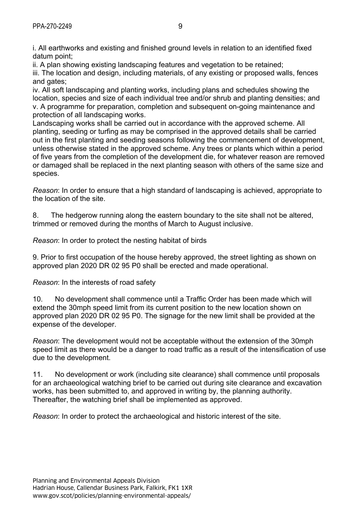i. All earthworks and existing and finished ground levels in relation to an identified fixed datum point;

ii. A plan showing existing landscaping features and vegetation to be retained;

iii. The location and design, including materials, of any existing or proposed walls, fences and gates:

iv. All soft landscaping and planting works, including plans and schedules showing the location, species and size of each individual tree and/or shrub and planting densities; and v. A programme for preparation, completion and subsequent on-going maintenance and protection of all landscaping works.

Landscaping works shall be carried out in accordance with the approved scheme. All planting, seeding or turfing as may be comprised in the approved details shall be carried out in the first planting and seeding seasons following the commencement of development, unless otherwise stated in the approved scheme. Any trees or plants which within a period of five years from the completion of the development die, for whatever reason are removed or damaged shall be replaced in the next planting season with others of the same size and species.

*Reason*: In order to ensure that a high standard of landscaping is achieved, appropriate to the location of the site.

8. The hedgerow running along the eastern boundary to the site shall not be altered, trimmed or removed during the months of March to August inclusive.

*Reason*: In order to protect the nesting habitat of birds

9. Prior to first occupation of the house hereby approved, the street lighting as shown on approved plan 2020 DR 02 95 P0 shall be erected and made operational.

*Reason*: In the interests of road safety

10. No development shall commence until a Traffic Order has been made which will extend the 30mph speed limit from its current position to the new location shown on approved plan 2020 DR 02 95 P0. The signage for the new limit shall be provided at the expense of the developer.

*Reason*: The development would not be acceptable without the extension of the 30mph speed limit as there would be a danger to road traffic as a result of the intensification of use due to the development.

11. No development or work (including site clearance) shall commence until proposals for an archaeological watching brief to be carried out during site clearance and excavation works, has been submitted to, and approved in writing by, the planning authority. Thereafter, the watching brief shall be implemented as approved.

*Reason*: In order to protect the archaeological and historic interest of the site.